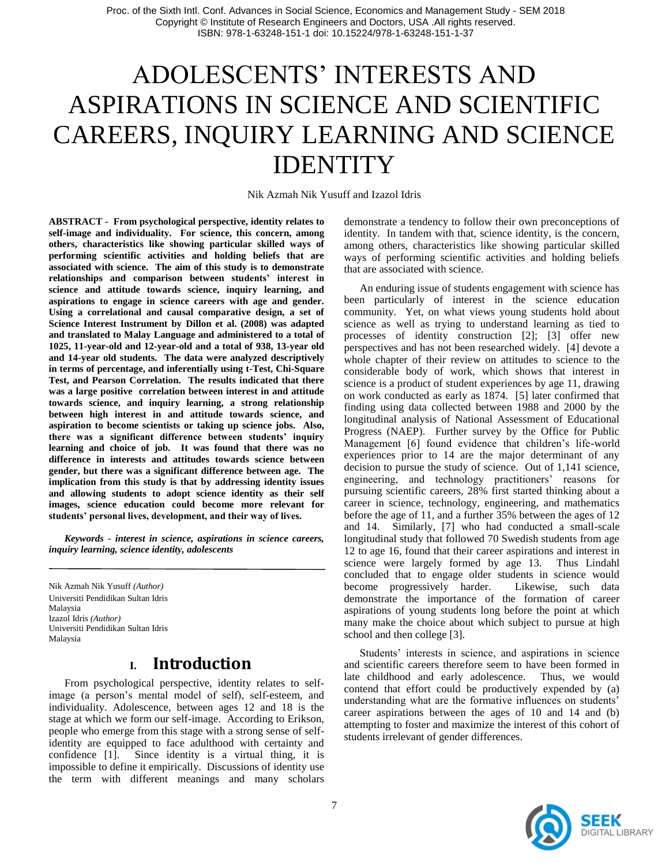# ADOLESCENTS' INTERESTS AND ASPIRATIONS IN SCIENCE AND SCIENTIFIC CAREERS, INQUIRY LEARNING AND SCIENCE **IDENTITY**

Nik Azmah Nik Yusuff and Izazol Idris

**ABSTRACT - From psychological perspective, identity relates to self-image and individuality. For science, this concern, among others, characteristics like showing particular skilled ways of performing scientific activities and holding beliefs that are associated with science. The aim of this study is to demonstrate relationships and comparison between students' interest in science and attitude towards science, inquiry learning, and aspirations to engage in science careers with age and gender. Using a correlational and causal comparative design, a set of Science Interest Instrument by Dillon et al. (2008) was adapted and translated to Malay Language and administered to a total of 1025, 11-year-old and 12-year-old and a total of 938, 13-year old and 14-year old students. The data were analyzed descriptively in terms of percentage, and inferentially using t-Test, Chi-Square Test, and Pearson Correlation. The results indicated that there was a large positive correlation between interest in and attitude towards science, and inquiry learning, a strong relationship between high interest in and attitude towards science, and aspiration to become scientists or taking up science jobs. Also, there was a significant difference between students' inquiry learning and choice of job. It was found that there was no difference in interests and attitudes towards science between gender, but there was a significant difference between age. The implication from this study is that by addressing identity issues and allowing students to adopt science identity as their self images, science education could become more relevant for students' personal lives, development, and their way of lives.**

*Keywords - interest in science, aspirations in science careers, inquiry learning, science identity, adolescents*

Nik Azmah Nik Yusuff *(Author)* Universiti Pendidikan Sultan Idris Malaysia Izazol Idris *(Author)* Universiti Pendidikan Sultan Idris Malaysia

### **I. Introduction**

From psychological perspective, identity relates to selfimage (a person's mental model of self), self-esteem, and individuality. Adolescence, between ages 12 and 18 is the stage at which we form our self-image. According to Erikson, people who emerge from this stage with a strong sense of selfidentity are equipped to face adulthood with certainty and confidence [1]. Since identity is a virtual thing, it is impossible to define it empirically. Discussions of identity use the term with different meanings and many scholars

demonstrate a tendency to follow their own preconceptions of identity. In tandem with that, science identity, is the concern, among others, characteristics like showing particular skilled ways of performing scientific activities and holding beliefs that are associated with science.

An enduring issue of students engagement with science has been particularly of interest in the science education community. Yet, on what views young students hold about science as well as trying to understand learning as tied to processes of identity construction [2]; [3] offer new perspectives and has not been researched widely. [4] devote a whole chapter of their review on attitudes to science to the considerable body of work, which shows that interest in science is a product of student experiences by age 11, drawing on work conducted as early as 1874. [5] later confirmed that finding using data collected between 1988 and 2000 by the longitudinal analysis of National Assessment of Educational Progress (NAEP). Further survey by the Office for Public Management [6] found evidence that children's life-world experiences prior to 14 are the major determinant of any decision to pursue the study of science. Out of 1,141 science, engineering, and technology practitioners' reasons for pursuing scientific careers, 28% first started thinking about a career in science, technology, engineering, and mathematics before the age of 11, and a further 35% between the ages of 12 and 14. Similarly, [7] who had conducted a small-scale longitudinal study that followed 70 Swedish students from age 12 to age 16, found that their career aspirations and interest in science were largely formed by age 13. Thus Lindahl concluded that to engage older students in science would become progressively harder. Likewise, such data demonstrate the importance of the formation of career aspirations of young students long before the point at which many make the choice about which subject to pursue at high school and then college [3].

Students' interests in science, and aspirations in science and scientific careers therefore seem to have been formed in late childhood and early adolescence. Thus, we would contend that effort could be productively expended by (a) understanding what are the formative influences on students' career aspirations between the ages of 10 and 14 and (b) attempting to foster and maximize the interest of this cohort of students irrelevant of gender differences.

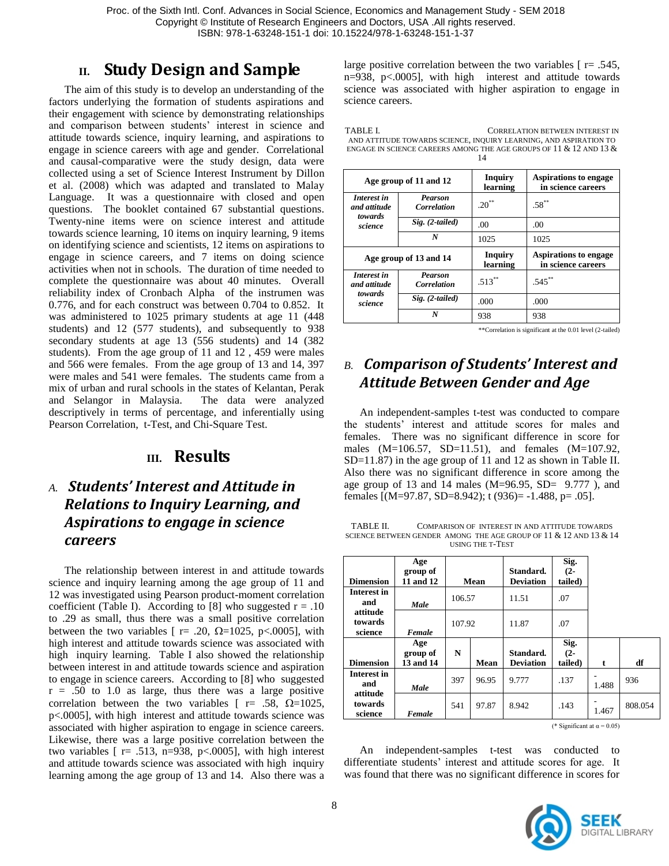Proc. of the Sixth Intl. Conf. Advances in Social Science, Economics and Management Study - SEM 2018 Copyright © Institute of Research Engineers and Doctors, USA .All rights reserved. ISBN: 978-1-63248-151-1 doi: 10.15224/978-1-63248-151-1-37

### **II. Study Design and Sample**

The aim of this study is to develop an understanding of the factors underlying the formation of students aspirations and their engagement with science by demonstrating relationships and comparison between students' interest in science and attitude towards science, inquiry learning, and aspirations to engage in science careers with age and gender. Correlational and causal-comparative were the study design, data were collected using a set of Science Interest Instrument by Dillon et al. (2008) which was adapted and translated to Malay Language. It was a questionnaire with closed and open questions. The booklet contained 67 substantial questions. Twenty-nine items were on science interest and attitude towards science learning, 10 items on inquiry learning, 9 items on identifying science and scientists, 12 items on aspirations to engage in science careers, and 7 items on doing science activities when not in schools. The duration of time needed to complete the questionnaire was about 40 minutes. Overall reliability index of Cronbach Alpha of the instrumen was 0.776, and for each construct was between 0.704 to 0.852. It was administered to 1025 primary students at age 11 (448 students) and 12 (577 students), and subsequently to 938 secondary students at age 13 (556 students) and 14 (382 students). From the age group of 11 and 12 , 459 were males and 566 were females. From the age group of 13 and 14, 397 were males and 541 were females. The students came from a mix of urban and rural schools in the states of Kelantan, Perak and Selangor in Malaysia. The data were analyzed descriptively in terms of percentage, and inferentially using Pearson Correlation, t-Test, and Chi-Square Test.

#### **III. Results**

# *A. Students' Interest and Attitude in Relations to Inquiry Learning, and Aspirations to engage in science careers*

The relationship between interest in and attitude towards science and inquiry learning among the age group of 11 and 12 was investigated using Pearson product-moment correlation coefficient (Table I). According to [8] who suggested  $r = .10$ to .29 as small, thus there was a small positive correlation between the two variables [ $r = .20$ ,  $\Omega = 1025$ ,  $p < .0005$ ], with high interest and attitude towards science was associated with high inquiry learning. Table I also showed the relationship between interest in and attitude towards science and aspiration to engage in science careers. According to [8] who suggested  $r = .50$  to 1.0 as large, thus there was a large positive correlation between the two variables  $\Gamma$  r= .58,  $\Omega$ =1025, p<.0005], with high interest and attitude towards science was associated with higher aspiration to engage in science careers. Likewise, there was a large positive correlation between the two variables  $[$ r = .513, n=938, p<.0005], with high interest and attitude towards science was associated with high inquiry learning among the age group of 13 and 14. Also there was a large positive correlation between the two variables  $[$ r= .545, n=938, p<.0005], with high interest and attitude towards science was associated with higher aspiration to engage in science careers.

TABLE I. CORRELATION BETWEEN INTEREST IN AND ATTITUDE TOWARDS SCIENCE, INQUIRY LEARNING, AND ASPIRATION TO ENGAGE IN SCIENCE CAREERS AMONG THE AGE GROUPS OF 11 & 12 AND 13 & 14

|                                        | Age group of 11 and 12        | <b>Inquiry</b><br>learning | <b>Aspirations to engage</b><br>in science careers |  |  |
|----------------------------------------|-------------------------------|----------------------------|----------------------------------------------------|--|--|
| Interest in<br>and attitude<br>towards | Pearson<br><b>Correlation</b> | $.20***$                   | $.58***$                                           |  |  |
| science                                | $Sig. (2-tailed)$             | .00                        | .00                                                |  |  |
|                                        | N                             | 1025                       | 1025                                               |  |  |
|                                        | Age group of 13 and 14        | <b>Inquiry</b><br>learning | Aspirations to engage<br>in science careers        |  |  |
| Interest in                            | <b>Pearson</b>                |                            |                                                    |  |  |
| and attitude                           | Correlation                   | $.513***$                  | $.545***$                                          |  |  |
| towards<br>science                     | $Sig. (2-tailed)$             | .000                       | .000                                               |  |  |

\*\*Correlation is significant at the 0.01 level (2-tailed)

# *B. Comparison of Students' Interest and Attitude Between Gender and Age*

An independent-samples t-test was conducted to compare the students' interest and attitude scores for males and females. There was no significant difference in score for males (M=106.57, SD=11.51), and females (M=107.92, SD=11.87) in the age group of 11 and 12 as shown in Table II. Also there was no significant difference in score among the age group of 13 and 14 males  $(M=96.95, SD= 9.777)$ , and females [(M=97.87, SD=8.942); t (936)= -1.488, p= .05].

TABLE II. COMPARISON OF INTEREST IN AND ATTITUDE TOWARDS SCIENCE BETWEEN GENDER AMONG THE AGE GROUP OF 11 & 12 AND 13 & 14 USING THE T-TEST

| <b>Dimension</b>               | Age<br>group of<br>11 and 12 |        | Mean  | Standard.<br><b>Deviation</b> | Sig.<br>$(2 -$<br>tailed) |       |         |
|--------------------------------|------------------------------|--------|-------|-------------------------------|---------------------------|-------|---------|
| Interest in<br>and             | Male                         | 106.57 |       | 11.51                         | .07                       |       |         |
| attitude<br>towards<br>science | Female                       | 107.92 |       | 11.87                         | .07                       |       |         |
| <b>Dimension</b>               | Age<br>group of<br>13 and 14 | N      | Mean  | Standard.<br><b>Deviation</b> | Sig.<br>$(2 -$<br>tailed) | t     | df      |
| Interest in<br>and             | Male                         | 397    | 96.95 | 9.777                         | .137                      | 1.488 | 936     |
| attitude<br>towards<br>science | Female                       | 541    | 97.87 | 8.942                         | .143                      | 1.467 | 808.054 |

(\* Significant at  $\alpha = 0.05$ )

An independent-samples t-test was conducted to differentiate students' interest and attitude scores for age. It was found that there was no significant difference in scores for

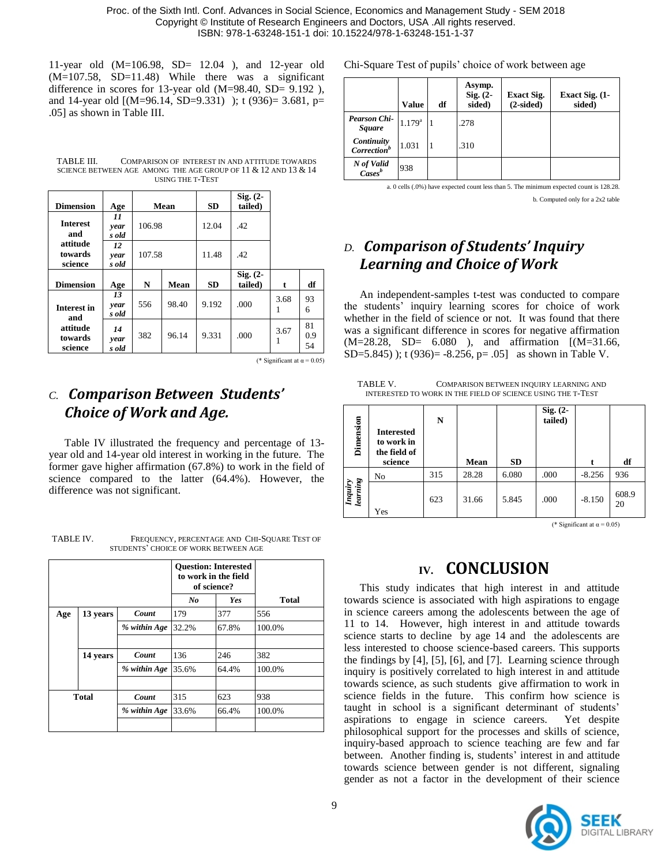Proc. of the Sixth Intl. Conf. Advances in Social Science, Economics and Management Study - SEM 2018 Copyright © Institute of Research Engineers and Doctors, USA .All rights reserved. ISBN: 978-1-63248-151-1 doi: 10.15224/978-1-63248-151-1-37

11-year old (M=106.98, SD= 12.04 ), and 12-year old (M=107.58, SD=11.48) While there was a significant difference in scores for 13-year old (M=98.40, SD= 9.192 ), and 14-year old [(M=96.14, SD=9.331) ); t (936)= 3.681, p= .05] as shown in Table III.

TABLE III. COMPARISON OF INTEREST IN AND ATTITUDE TOWARDS SCIENCE BETWEEN AGE AMONG THE AGE GROUP OF 11 & 12 AND 13 & 14 USING THE T-TEST

| <b>Dimension</b>               | Age                 | Mean             |       | <b>SD</b> | $Sig. (2 -$<br>tailed) |           |                 |
|--------------------------------|---------------------|------------------|-------|-----------|------------------------|-----------|-----------------|
| <b>Interest</b><br>and         | 11<br>year<br>s old | 106.98<br>107.58 |       | 12.04     | .42                    |           |                 |
| attitude<br>towards<br>science | 12<br>year<br>s old |                  |       | 11.48     | .42                    |           |                 |
| <b>Dimension</b>               | Age                 | N                | Mean  | <b>SD</b> | $Sig. (2 -$<br>tailed) | t         | df              |
| <b>Interest in</b><br>and      | 13<br>year<br>s old | 556              | 98.40 | 9.192     | .000                   | 3.68<br>1 | 93<br>6         |
| attitude<br>towards<br>science | 14<br>year<br>s old | 382              | 96.14 | 9.331     | .000                   | 3.67<br>1 | 81<br>0.9<br>54 |

(\* Significant at  $\alpha$  = 0.05)

### *C. Comparison Between Students' Choice of Work and Age.*

Table IV illustrated the frequency and percentage of 13 year old and 14-year old interest in working in the future. The former gave higher affirmation (67.8%) to work in the field of science compared to the latter (64.4%). However, the difference was not significant.

TABLE IV. FREQUENCY, PERCENTAGE AND CHI-SQUARE TEST OF STUDENTS' CHOICE OF WORK BETWEEN AGE

|              |          |              |         | <b>Question: Interested</b><br>to work in the field<br>of science? |              |
|--------------|----------|--------------|---------|--------------------------------------------------------------------|--------------|
|              |          |              | $N_{0}$ | <b>Yes</b>                                                         | <b>Total</b> |
| Age          | 13 years | Count        | 179     | 377                                                                | 556          |
|              |          | % within Age | 32.2%   | 67.8%                                                              | 100.0%       |
|              |          |              |         |                                                                    |              |
|              | 14 years | Count        | 136     | 246                                                                | 382          |
|              |          | % within Age | 35.6%   | 64.4%                                                              | 100.0%       |
|              |          |              |         |                                                                    |              |
| <b>Total</b> |          | Count        | 315     | 623                                                                | 938          |
|              |          | % within Age | 33.6%   | 66.4%                                                              | 100.0%       |
|              |          |              |         |                                                                    |              |

Chi-Square Test of pupils' choice of work between age

|                                       | <b>Value</b>    | df | Asymp.<br>Sig. $(2 -$<br>sided) | <b>Exact Sig.</b><br>$(2-sided)$ | Exact Sig. (1-<br>sided) |
|---------------------------------------|-----------------|----|---------------------------------|----------------------------------|--------------------------|
| <b>Pearson Chi-</b><br><b>Square</b>  | $1.179^{\rm a}$ |    | .278                            |                                  |                          |
| Continuity<br>$\textit{Correction}^b$ | 1.031           |    | .310                            |                                  |                          |
| N of Valid<br>Cases <sup>b</sup>      | 938             |    |                                 |                                  |                          |

a. 0 cells (.0%) have expected count less than 5. The minimum expected count is 128.28.

b. Computed only for a 2x2 table

# *D. Comparison of Students' Inquiry Learning and Choice of Work*

An independent-samples t-test was conducted to compare the students' inquiry learning scores for choice of work whether in the field of science or not. It was found that there was a significant difference in scores for negative affirmation (M=28.28, SD= 6.080 ), and affirmation [(M=31.66, SD=5.845) ); t (936)= -8.256, p= .05] as shown in Table V.

TABLE V. COMPARISON BETWEEN INQUIRY LEARNING AND INTERESTED TO WORK IN THE FIELD OF SCIENCE USING THE T-TEST

| Dimension           | <b>Interested</b><br>to work in<br>the field of<br>science | N   | Mean  | <b>SD</b> | Sig. (2-<br>tailed) |          | df          |
|---------------------|------------------------------------------------------------|-----|-------|-----------|---------------------|----------|-------------|
|                     | N <sub>o</sub>                                             | 315 | 28.28 | 6.080     | .000                | $-8.256$ | 936         |
| Inquiry<br>learning | Yes                                                        | 623 | 31.66 | 5.845     | .000                | $-8.150$ | 608.9<br>20 |

(\* Significant at  $\alpha$  = 0.05)

## **IV. CONCLUSION**

This study indicates that high interest in and attitude towards science is associated with high aspirations to engage in science careers among the adolescents between the age of 11 to 14. However, high interest in and attitude towards science starts to decline by age 14 and the adolescents are less interested to choose science-based careers. This supports the findings by [4], [5], [6], and [7]. Learning science through inquiry is positively correlated to high interest in and attitude towards science, as such students give affirmation to work in science fields in the future. This confirm how science is taught in school is a significant determinant of students' aspirations to engage in science careers. Yet despite philosophical support for the processes and skills of science, inquiry-based approach to science teaching are few and far between. Another finding is, students' interest in and attitude towards science between gender is not different, signaling gender as not a factor in the development of their science